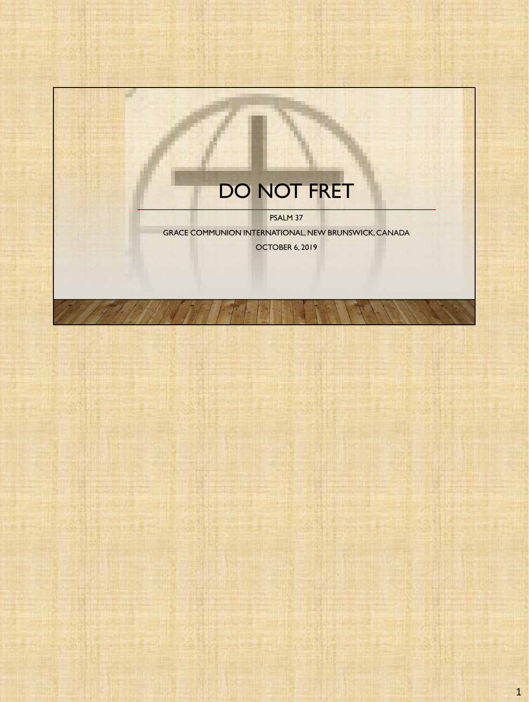## DO NOT FRET

a.

PSALM 37

GRACE COMMUNION INTERNATIONAL, NEW BRUNSWICK, CANADA OCTOBER 6, 2019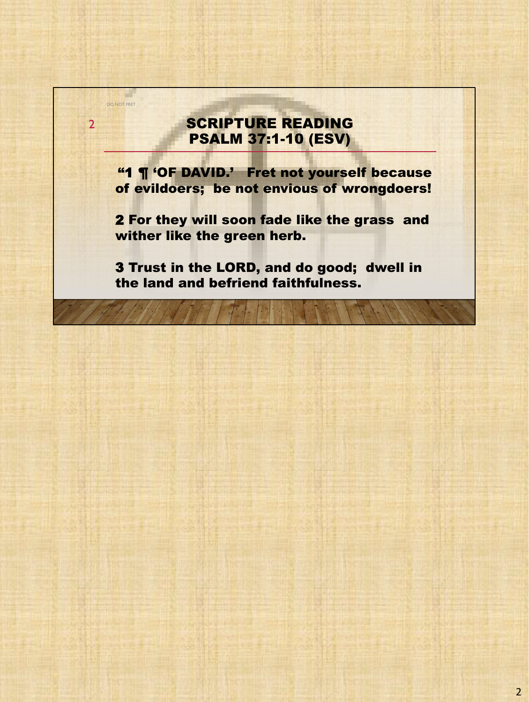## SCRIPTURE READING PSALM 37:1-10 (ESV)

DO NOT FRET

2

"1 ¶ 'OF DAVID.' Fret not yourself because of evildoers; be not envious of wrongdoers!

2 For they will soon fade like the grass and wither like the green herb.

3 Trust in the LORD, and do good; dwell in the land and befriend faithfulness.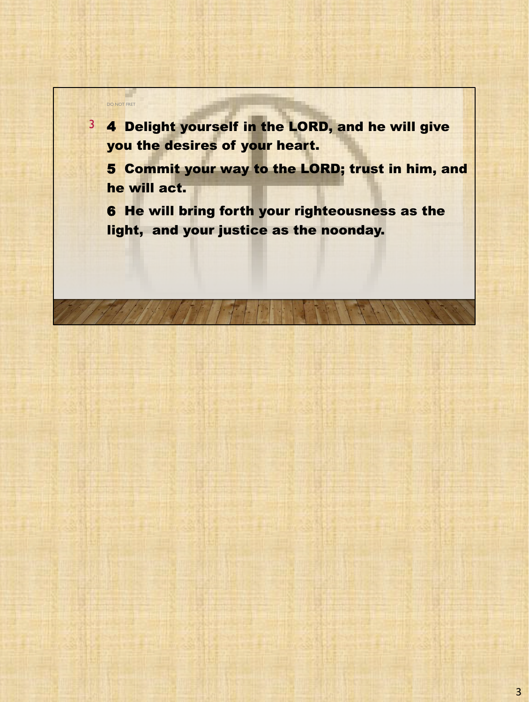a l DO NOT FRET 3 4 Delight yourself in the LORD, and he will give you the desires of your heart. 5 Commit your way to the LORD; trust in him, and he will act. 6 He will bring forth your righteousness as the light, and your justice as the noonday.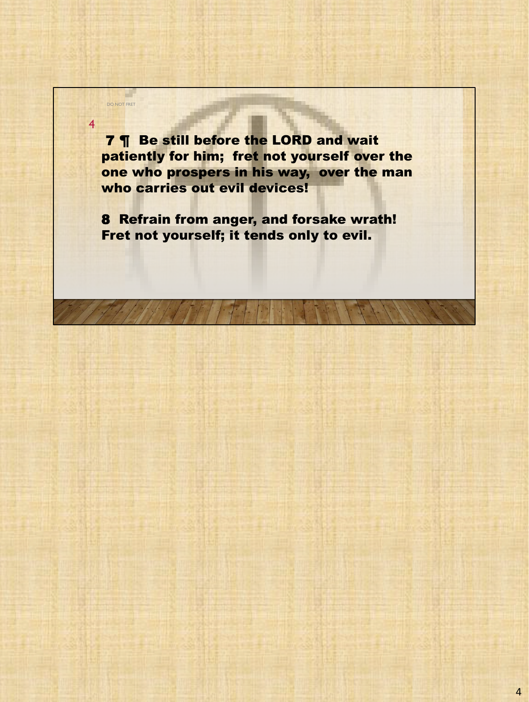7 ¶ Be still before the LORD and wait patiently for him; fret not yourself over the one who prospers in his way, over the man who carries out evil devices!

4

DO NOT FRET

a ka

8 Refrain from anger, and forsake wrath! Fret not yourself; it tends only to evil.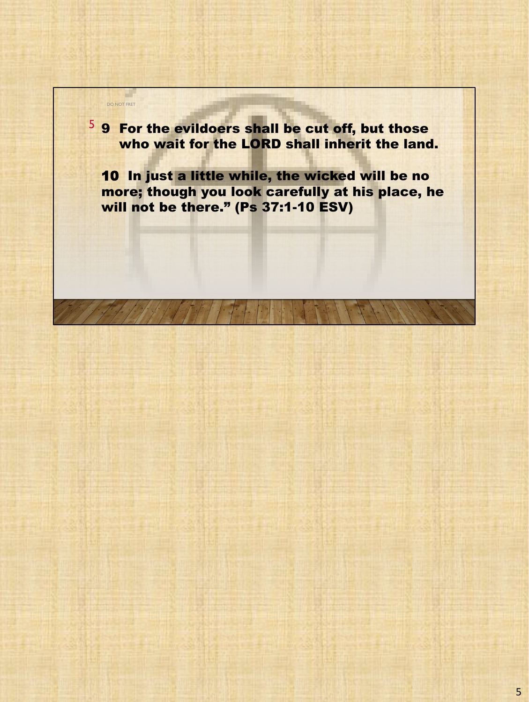5 9 For the evildoers shall be cut off, but those who wait for the LORD shall inherit the land.

DO NOT FRET

a ka

10 In just a little while, the wicked will be no more; though you look carefully at his place, he will not be there." (Ps 37:1-10 ESV)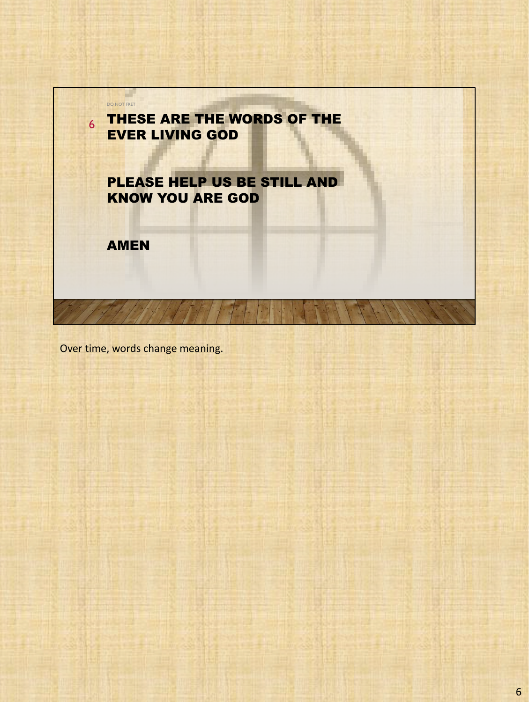

Over time, words change meaning.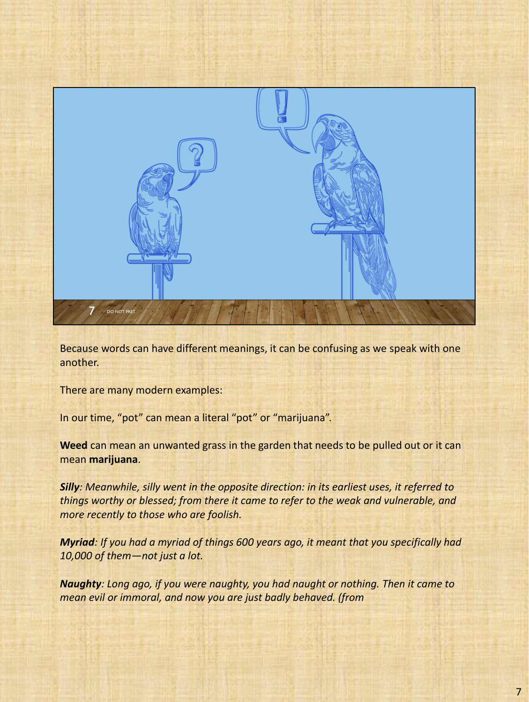

Because words can have different meanings, it can be confusing as we speak with one another.

There are many modern examples:

In our time, "pot" can mean a literal "pot" or "marijuana".

**Weed** can mean an unwanted grass in the garden that needs to be pulled out or it can mean **marijuana**.

*Silly: Meanwhile, silly went in the opposite direction: in its earliest uses, it referred to things worthy or blessed; from there it came to refer to the weak and vulnerable, and more recently to those who are foolish.*

*Myriad: If you had a myriad of things 600 years ago, it meant that you specifically had 10,000 of them—not just a lot.*

*Naughty: Long ago, if you were naughty, you had naught or nothing. Then it came to mean evil or immoral, and now you are just badly behaved. (from*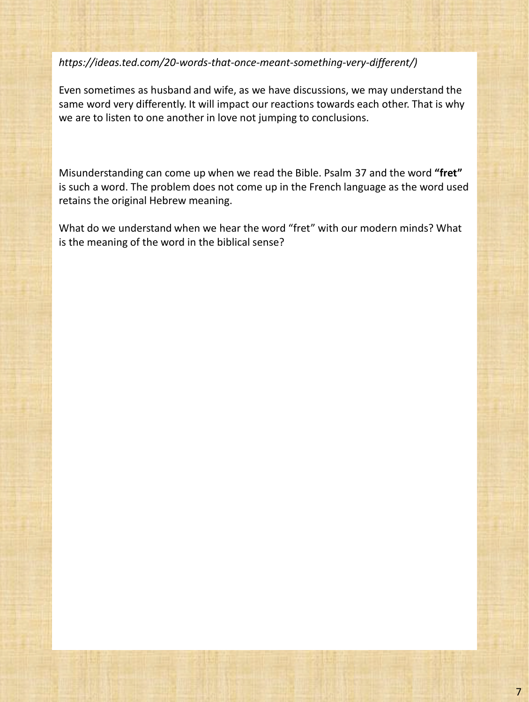*https://ideas.ted.com/20-words-that-once-meant-something-very-different/)* 

Even sometimes as husband and wife, as we have discussions, we may understand the same word very differently. It will impact our reactions towards each other. That is why we are to listen to one another in love not jumping to conclusions.

Misunderstanding can come up when we read the Bible. Psalm 37 and the word **"fret"**  is such a word. The problem does not come up in the French language as the word used retains the original Hebrew meaning.

What do we understand when we hear the word "fret" with our modern minds? What is the meaning of the word in the biblical sense?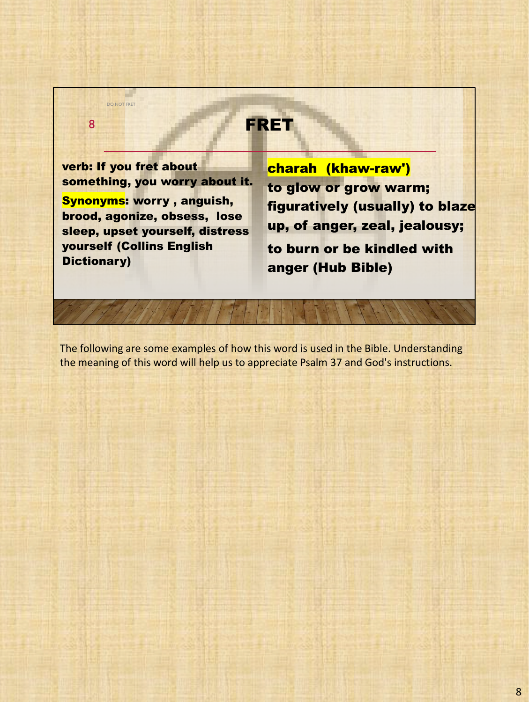**FRET** verb: If you fret about something, you worry about it. Synonyms: worry , anguish, brood, agonize, obsess, lose sleep, upset yourself, distress yourself (Collins English Dictionary) charah (khaw-raw') to glow or grow warm; figuratively (usually) to blaze up, of anger, zeal, jealousy; to burn or be kindled with anger (Hub Bible) DO NOT FRET 8

The following are some examples of how this word is used in the Bible. Understanding the meaning of this word will help us to appreciate Psalm 37 and God's instructions.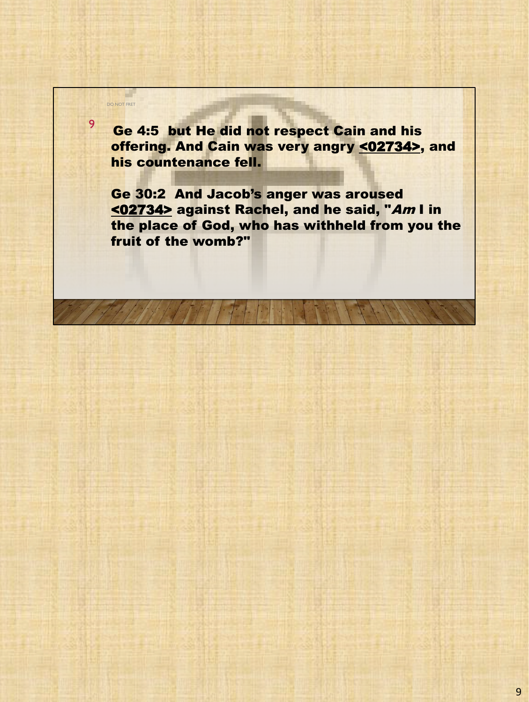<sup>9</sup> Ge 4:5 but He did not respect Cain and his offering. And Cain was very angry <02734>, and his countenance fell.

DO NOT FRET

a l

Ge 30:2 And Jacob's anger was aroused <02734> against Rachel, and he said, "Am I in the place of God, who has withheld from you the fruit of the womb?"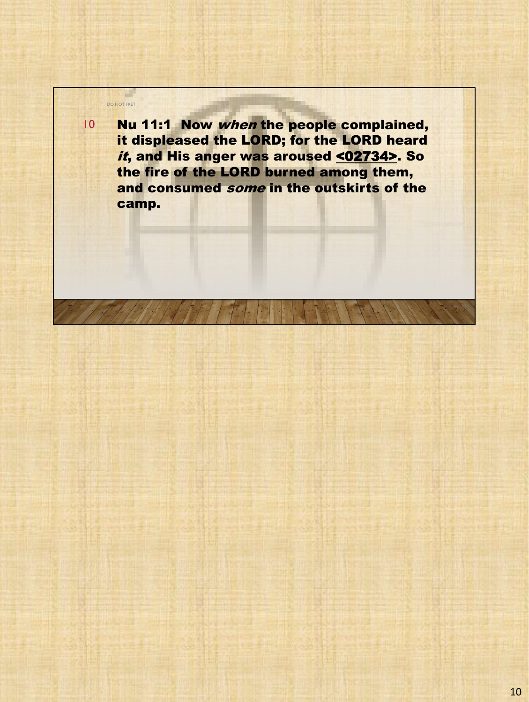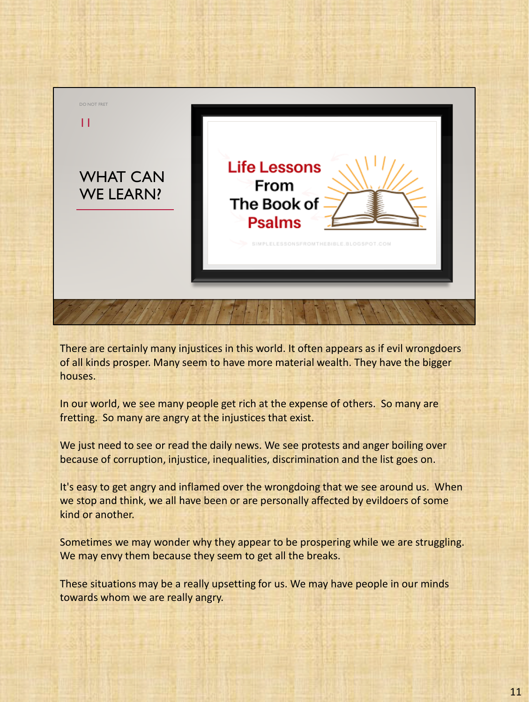

There are certainly many injustices in this world. It often appears as if evil wrongdoers of all kinds prosper. Many seem to have more material wealth. They have the bigger houses.

In our world, we see many people get rich at the expense of others. So many are fretting. So many are angry at the injustices that exist.

We just need to see or read the daily news. We see protests and anger boiling over because of corruption, injustice, inequalities, discrimination and the list goes on.

It's easy to get angry and inflamed over the wrongdoing that we see around us. When we stop and think, we all have been or are personally affected by evildoers of some kind or another.

Sometimes we may wonder why they appear to be prospering while we are struggling. We may envy them because they seem to get all the breaks.

These situations may be a really upsetting for us. We may have people in our minds towards whom we are really angry.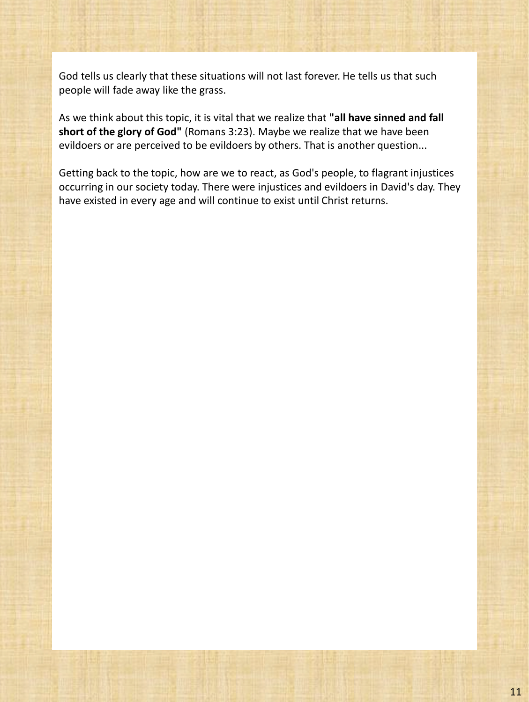God tells us clearly that these situations will not last forever. He tells us that such people will fade away like the grass.

As we think about this topic, it is vital that we realize that **"all have sinned and fall short of the glory of God"** (Romans 3:23). Maybe we realize that we have been evildoers or are perceived to be evildoers by others. That is another question...

Getting back to the topic, how are we to react, as God's people, to flagrant injustices occurring in our society today. There were injustices and evildoers in David's day. They have existed in every age and will continue to exist until Christ returns.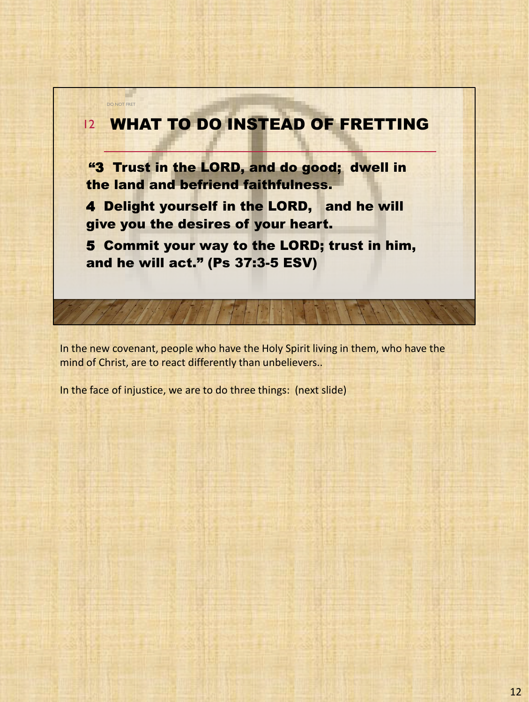

In the new covenant, people who have the Holy Spirit living in them, who have the mind of Christ, are to react differently than unbelievers..

In the face of injustice, we are to do three things: (next slide)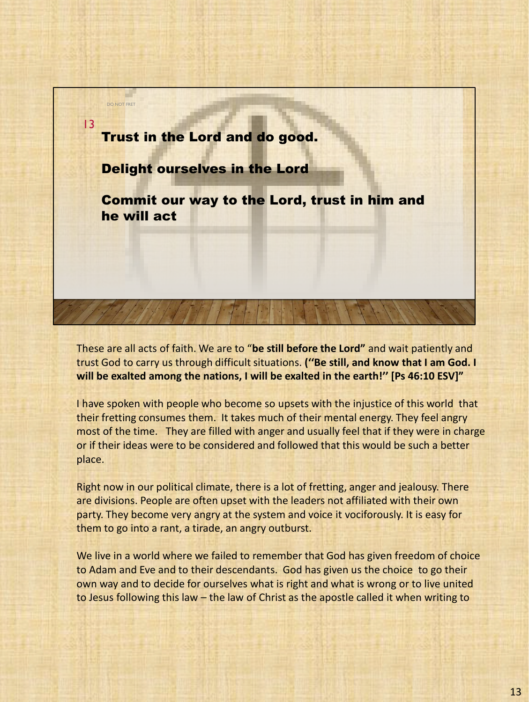

These are all acts of faith. We are to "**be still before the Lord"** and wait patiently and trust God to carry us through difficult situations. **(''Be still, and know that I am God. I will be exalted among the nations, I will be exalted in the earth!'' [Ps 46:10 ESV]"**

I have spoken with people who become so upsets with the injustice of this world that their fretting consumes them. It takes much of their mental energy. They feel angry most of the time. They are filled with anger and usually feel that if they were in charge or if their ideas were to be considered and followed that this would be such a better place.

Right now in our political climate, there is a lot of fretting, anger and jealousy. There are divisions. People are often upset with the leaders not affiliated with their own party. They become very angry at the system and voice it vociforously. It is easy for them to go into a rant, a tirade, an angry outburst.

We live in a world where we failed to remember that God has given freedom of choice to Adam and Eve and to their descendants. God has given us the choice to go their own way and to decide for ourselves what is right and what is wrong or to live united to Jesus following this law – the law of Christ as the apostle called it when writing to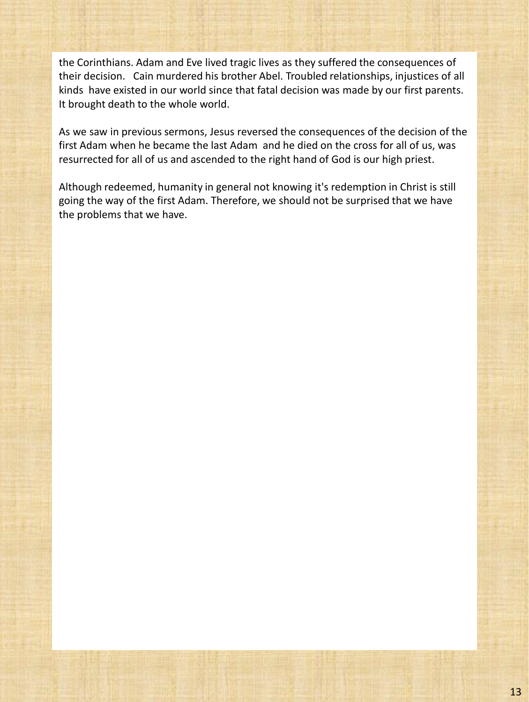the Corinthians. Adam and Eve lived tragic lives as they suffered the consequences of their decision. Cain murdered his brother Abel. Troubled relationships, injustices of all kinds have existed in our world since that fatal decision was made by our first parents. It brought death to the whole world.

As we saw in previous sermons, Jesus reversed the consequences of the decision of the first Adam when he became the last Adam and he died on the cross for all of us, was resurrected for all of us and ascended to the right hand of God is our high priest.

Although redeemed, humanity in general not knowing it's redemption in Christ is still going the way of the first Adam. Therefore, we should not be surprised that we have the problems that we have.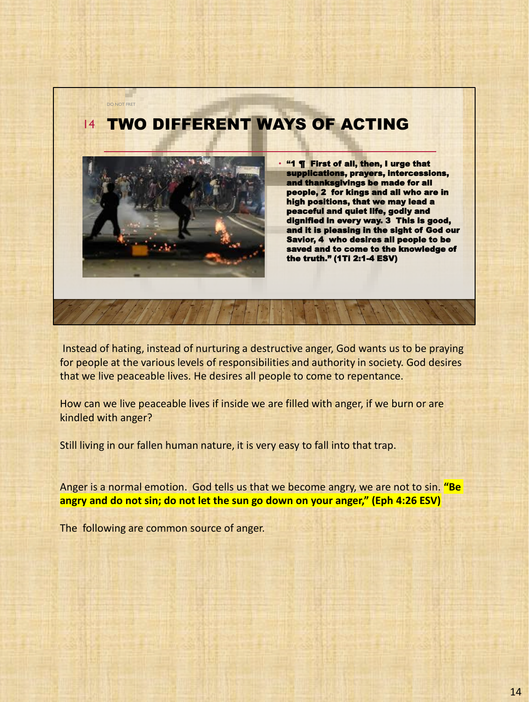## TWO DIFFERENT WAYS OF ACTING 14



DO NOT FRET

• "1 ¶ First of all, then, I urge that supplications, prayers, intercessions, and thanksgivings be made for all people, 2 for kings and all who are in high positions, that we may lead a peaceful and quiet life, godly and dignified in every way. 3 This is good, and it is pleasing in the sight of God our Savior, 4 who desires all people to be saved and to come to the knowledge of the truth." (1Ti 2:1-4 ESV)

Instead of hating, instead of nurturing a destructive anger, God wants us to be praying for people at the various levels of responsibilities and authority in society. God desires that we live peaceable lives. He desires all people to come to repentance.

How can we live peaceable lives if inside we are filled with anger, if we burn or are kindled with anger?

Still living in our fallen human nature, it is very easy to fall into that trap.

Anger is a normal emotion. God tells us that we become angry, we are not to sin. **"Be angry and do not sin; do not let the sun go down on your anger," (Eph 4:26 ESV)**

The following are common source of anger.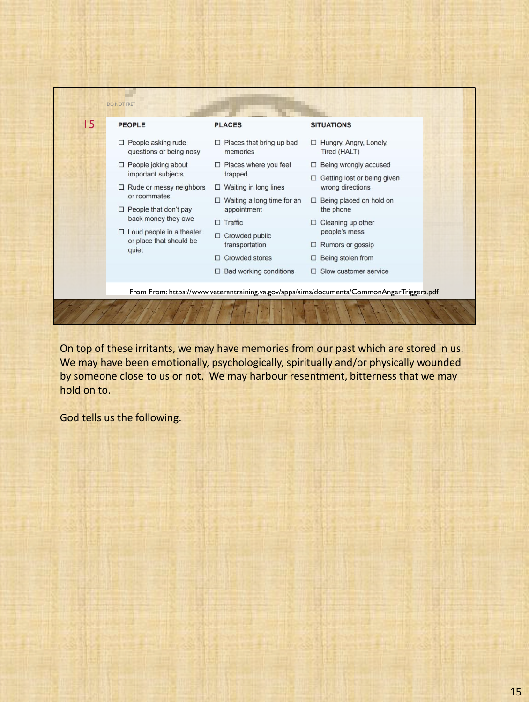

On top of these irritants, we may have memories from our past which are stored in us. We may have been emotionally, psychologically, spiritually and/or physically wounded by someone close to us or not. We may harbour resentment, bitterness that we may hold on to.

God tells us the following.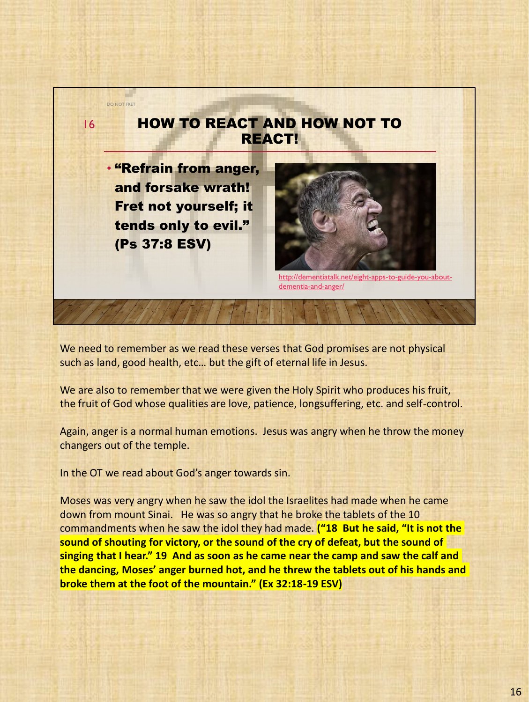

We need to remember as we read these verses that God promises are not physical such as land, good health, etc… but the gift of eternal life in Jesus.

We are also to remember that we were given the Holy Spirit who produces his fruit, the fruit of God whose qualities are love, patience, longsuffering, etc. and self-control.

Again, anger is a normal human emotions. Jesus was angry when he throw the money changers out of the temple.

In the OT we read about God's anger towards sin.

Moses was very angry when he saw the idol the Israelites had made when he came down from mount Sinai. He was so angry that he broke the tablets of the 10 commandments when he saw the idol they had made. **("18 But he said, "It is not the sound of shouting for victory, or the sound of the cry of defeat, but the sound of singing that I hear." 19 And as soon as he came near the camp and saw the calf and the dancing, Moses' anger burned hot, and he threw the tablets out of his hands and broke them at the foot of the mountain." (Ex 32:18-19 ESV)**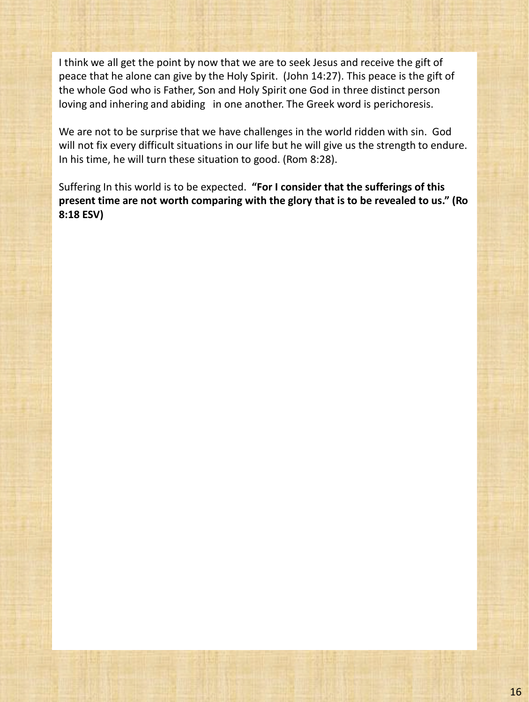I think we all get the point by now that we are to seek Jesus and receive the gift of peace that he alone can give by the Holy Spirit. (John 14:27). This peace is the gift of the whole God who is Father, Son and Holy Spirit one God in three distinct person loving and inhering and abiding in one another. The Greek word is perichoresis.

We are not to be surprise that we have challenges in the world ridden with sin. God will not fix every difficult situations in our life but he will give us the strength to endure. In his time, he will turn these situation to good. (Rom 8:28).

Suffering In this world is to be expected. **"For I consider that the sufferings of this present time are not worth comparing with the glory that is to be revealed to us." (Ro 8:18 ESV)**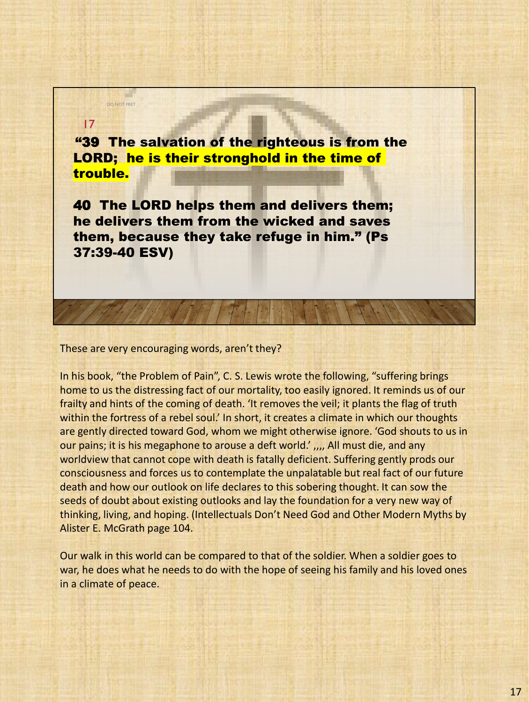"39 The salvation of the righteous is from the LORD; he is their stronghold in the time of trouble.

40 The LORD helps them and delivers them; he delivers them from the wicked and saves them, because they take refuge in him." (Ps 37:39-40 ESV)

## These are very encouraging words, aren't they?

DO NOT FRET

17

In his book, "the Problem of Pain", C. S. Lewis wrote the following, "suffering brings home to us the distressing fact of our mortality, too easily ignored. It reminds us of our frailty and hints of the coming of death. 'It removes the veil; it plants the flag of truth within the fortress of a rebel soul.' In short, it creates a climate in which our thoughts are gently directed toward God, whom we might otherwise ignore. 'God shouts to us in our pains; it is his megaphone to arouse a deft world.', , all must die, and any worldview that cannot cope with death is fatally deficient. Suffering gently prods our consciousness and forces us to contemplate the unpalatable but real fact of our future death and how our outlook on life declares to this sobering thought. It can sow the seeds of doubt about existing outlooks and lay the foundation for a very new way of thinking, living, and hoping. (Intellectuals Don't Need God and Other Modern Myths by Alister E. McGrath page 104.

Our walk in this world can be compared to that of the soldier. When a soldier goes to war, he does what he needs to do with the hope of seeing his family and his loved ones in a climate of peace.